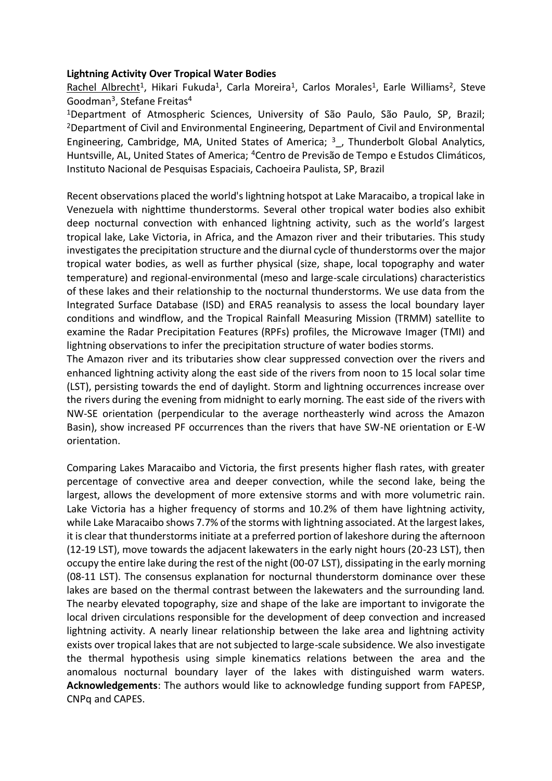#### **Lightning Activity Over Tropical Water Bodies**

Rachel Albrecht<sup>1</sup>, Hikari Fukuda<sup>1</sup>, Carla Moreira<sup>1</sup>, Carlos Morales<sup>1</sup>, Earle Williams<sup>2</sup>, Steve Goodman<sup>3</sup> , Stefane Freitas<sup>4</sup>

<sup>1</sup>Department of Atmospheric Sciences, University of São Paulo, São Paulo, SP, Brazil; <sup>2</sup>Department of Civil and Environmental Engineering, Department of Civil and Environmental Engineering, Cambridge, MA, United States of America;  $3$ , Thunderbolt Global Analytics, Huntsville, AL, United States of America; <sup>4</sup>Centro de Previsão de Tempo e Estudos Climáticos, Instituto Nacional de Pesquisas Espaciais, Cachoeira Paulista, SP, Brazil

Recent observations placed the world's lightning hotspot at Lake Maracaibo, a tropical lake in Venezuela with nighttime thunderstorms. Several other tropical water bodies also exhibit deep nocturnal convection with enhanced lightning activity, such as the world's largest tropical lake, Lake Victoria, in Africa, and the Amazon river and their tributaries. This study investigates the precipitation structure and the diurnal cycle of thunderstorms over the major tropical water bodies, as well as further physical (size, shape, local topography and water temperature) and regional-environmental (meso and large-scale circulations) characteristics of these lakes and their relationship to the nocturnal thunderstorms. We use data from the Integrated Surface Database (ISD) and ERA5 reanalysis to assess the local boundary layer conditions and windflow, and the Tropical Rainfall Measuring Mission (TRMM) satellite to examine the Radar Precipitation Features (RPFs) profiles, the Microwave Imager (TMI) and lightning observations to infer the precipitation structure of water bodies storms.

The Amazon river and its tributaries show clear suppressed convection over the rivers and enhanced lightning activity along the east side of the rivers from noon to 15 local solar time (LST), persisting towards the end of daylight. Storm and lightning occurrences increase over the rivers during the evening from midnight to early morning. The east side of the rivers with NW-SE orientation (perpendicular to the average northeasterly wind across the Amazon Basin), show increased PF occurrences than the rivers that have SW-NE orientation or E-W orientation.

Comparing Lakes Maracaibo and Victoria, the first presents higher flash rates, with greater percentage of convective area and deeper convection, while the second lake, being the largest, allows the development of more extensive storms and with more volumetric rain. Lake Victoria has a higher frequency of storms and 10.2% of them have lightning activity, while Lake Maracaibo shows 7.7% of the storms with lightning associated. At the largest lakes, it is clear that thunderstorms initiate at a preferred portion of lakeshore during the afternoon (12-19 LST), move towards the adjacent lakewaters in the early night hours (20-23 LST), then occupy the entire lake during the rest of the night (00-07 LST), dissipating in the early morning (08-11 LST). The consensus explanation for nocturnal thunderstorm dominance over these lakes are based on the thermal contrast between the lakewaters and the surrounding land. The nearby elevated topography, size and shape of the lake are important to invigorate the local driven circulations responsible for the development of deep convection and increased lightning activity. A nearly linear relationship between the lake area and lightning activity exists over tropical lakes that are not subjected to large-scale subsidence. We also investigate the thermal hypothesis using simple kinematics relations between the area and the anomalous nocturnal boundary layer of the lakes with distinguished warm waters. **Acknowledgements**: The authors would like to acknowledge funding support from FAPESP, CNPq and CAPES.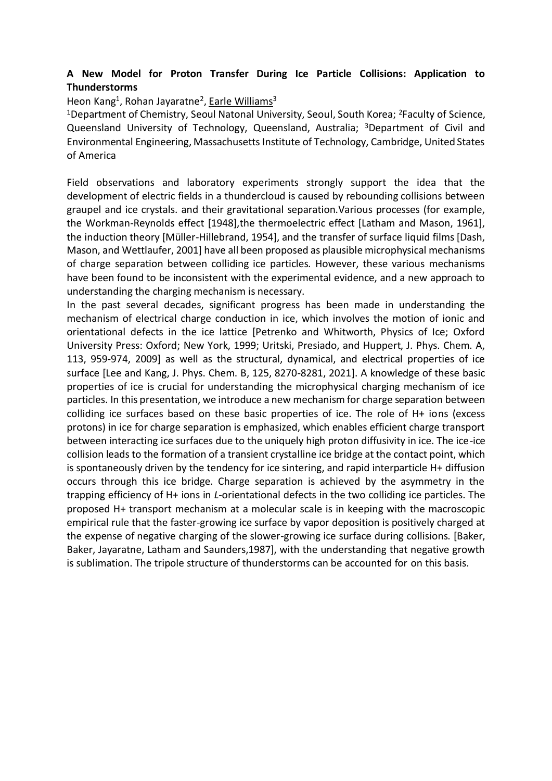## **A New Model for Proton Transfer During Ice Particle Collisions: Application to Thunderstorms**

# Heon Kang<sup>1</sup>, Rohan Jayaratne<sup>2</sup>, Earle Williams<sup>3</sup>

<sup>1</sup>Department of Chemistry, Seoul Natonal University, Seoul, South Korea; <sup>2</sup>Faculty of Science, Queensland University of Technology, Queensland, Australia; <sup>3</sup>Department of Civil and Environmental Engineering, Massachusetts Institute of Technology, Cambridge, United States of America

Field observations and laboratory experiments strongly support the idea that the development of electric fields in a thundercloud is caused by rebounding collisions between graupel and ice crystals. and their gravitational separation.Various processes (for example, the Workman-Reynolds effect [1948],the thermoelectric effect [Latham and Mason, 1961], the induction theory [Müller-Hillebrand, 1954], and the transfer of surface liquid films [Dash, Mason, and Wettlaufer, 2001] have all been proposed as plausible microphysical mechanisms of charge separation between colliding ice particles. However, these various mechanisms have been found to be inconsistent with the experimental evidence, and a new approach to understanding the charging mechanism is necessary.

In the past several decades, significant progress has been made in understanding the mechanism of electrical charge conduction in ice, which involves the motion of ionic and orientational defects in the ice lattice [Petrenko and Whitworth, Physics of Ice; Oxford University Press: Oxford; New York, 1999; Uritski, Presiado, and Huppert, J. Phys. Chem. A, 113, 959-974, 2009] as well as the structural, dynamical, and electrical properties of ice surface [Lee and Kang, J. Phys. Chem. B, 125, 8270-8281, 2021]. A knowledge of these basic properties of ice is crucial for understanding the microphysical charging mechanism of ice particles. In this presentation, we introduce a new mechanism for charge separation between colliding ice surfaces based on these basic properties of ice. The role of H+ ions (excess protons) in ice for charge separation is emphasized, which enables efficient charge transport between interacting ice surfaces due to the uniquely high proton diffusivity in ice. The ice-ice collision leads to the formation of a transient crystalline ice bridge at the contact point, which is spontaneously driven by the tendency for ice sintering, and rapid interparticle H+ diffusion occurs through this ice bridge. Charge separation is achieved by the asymmetry in the trapping efficiency of H+ ions in *L*-orientational defects in the two colliding ice particles. The proposed H+ transport mechanism at a molecular scale is in keeping with the macroscopic empirical rule that the faster-growing ice surface by vapor deposition is positively charged at the expense of negative charging of the slower-growing ice surface during collisions. [Baker, Baker, Jayaratne, Latham and Saunders,1987], with the understanding that negative growth is sublimation. The tripole structure of thunderstorms can be accounted for on this basis.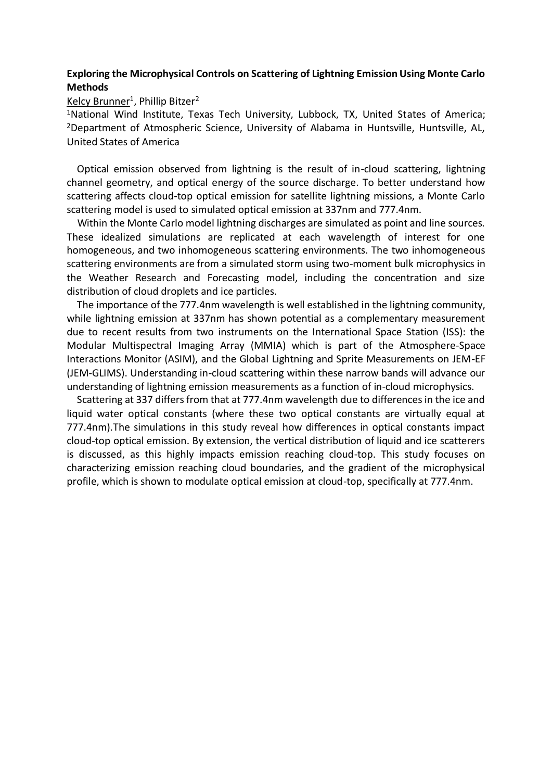### **Exploring the Microphysical Controls on Scattering of Lightning Emission Using Monte Carlo Methods**

## <u>Kelcy Brunner</u><sup>1</sup>, Phillip Bitzer<sup>2</sup>

<sup>1</sup>National Wind Institute, Texas Tech University, Lubbock, TX, United States of America; <sup>2</sup>Department of Atmospheric Science, University of Alabama in Huntsville, Huntsville, AL, United States of America

 Optical emission observed from lightning is the result of in-cloud scattering, lightning channel geometry, and optical energy of the source discharge. To better understand how scattering affects cloud-top optical emission for satellite lightning missions, a Monte Carlo scattering model is used to simulated optical emission at 337nm and 777.4nm.

 Within the Monte Carlo model lightning discharges are simulated as point and line sources. These idealized simulations are replicated at each wavelength of interest for one homogeneous, and two inhomogeneous scattering environments. The two inhomogeneous scattering environments are from a simulated storm using two-moment bulk microphysics in the Weather Research and Forecasting model, including the concentration and size distribution of cloud droplets and ice particles.

 The importance of the 777.4nm wavelength is well established in the lightning community, while lightning emission at 337nm has shown potential as a complementary measurement due to recent results from two instruments on the International Space Station (ISS): the Modular Multispectral Imaging Array (MMIA) which is part of the Atmosphere-Space Interactions Monitor (ASIM), and the Global Lightning and Sprite Measurements on JEM-EF (JEM-GLIMS). Understanding in-cloud scattering within these narrow bands will advance our understanding of lightning emission measurements as a function of in-cloud microphysics.

 Scattering at 337 differs from that at 777.4nm wavelength due to differences in the ice and liquid water optical constants (where these two optical constants are virtually equal at 777.4nm).The simulations in this study reveal how differences in optical constants impact cloud-top optical emission. By extension, the vertical distribution of liquid and ice scatterers is discussed, as this highly impacts emission reaching cloud-top. This study focuses on characterizing emission reaching cloud boundaries, and the gradient of the microphysical profile, which is shown to modulate optical emission at cloud-top, specifically at 777.4nm.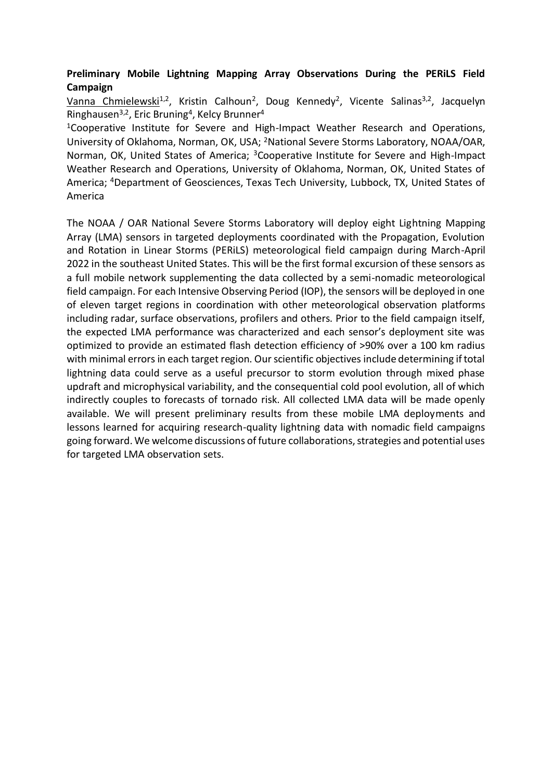## **Preliminary Mobile Lightning Mapping Array Observations During the PERiLS Field Campaign**

Vanna Chmielewski<sup>1,2</sup>, Kristin Calhoun<sup>2</sup>, Doug Kennedy<sup>2</sup>, Vicente Salinas<sup>3,2</sup>, Jacquelyn Ringhausen<sup>3,2</sup>, Eric Bruning<sup>4</sup>, Kelcy Brunner<sup>4</sup>

<sup>1</sup>Cooperative Institute for Severe and High-Impact Weather Research and Operations, University of Oklahoma, Norman, OK, USA; <sup>2</sup>National Severe Storms Laboratory, NOAA/OAR, Norman, OK, United States of America; <sup>3</sup>Cooperative Institute for Severe and High-Impact Weather Research and Operations, University of Oklahoma, Norman, OK, United States of America; <sup>4</sup>Department of Geosciences, Texas Tech University, Lubbock, TX, United States of America

The NOAA / OAR National Severe Storms Laboratory will deploy eight Lightning Mapping Array (LMA) sensors in targeted deployments coordinated with the Propagation, Evolution and Rotation in Linear Storms (PERiLS) meteorological field campaign during March-April 2022 in the southeast United States. This will be the first formal excursion of these sensors as a full mobile network supplementing the data collected by a semi-nomadic meteorological field campaign. For each Intensive Observing Period (IOP), the sensors will be deployed in one of eleven target regions in coordination with other meteorological observation platforms including radar, surface observations, profilers and others. Prior to the field campaign itself, the expected LMA performance was characterized and each sensor's deployment site was optimized to provide an estimated flash detection efficiency of >90% over a 100 km radius with minimal errors in each target region. Our scientific objectives include determining if total lightning data could serve as a useful precursor to storm evolution through mixed phase updraft and microphysical variability, and the consequential cold pool evolution, all of which indirectly couples to forecasts of tornado risk. All collected LMA data will be made openly available. We will present preliminary results from these mobile LMA deployments and lessons learned for acquiring research-quality lightning data with nomadic field campaigns going forward. We welcome discussions of future collaborations, strategies and potential uses for targeted LMA observation sets.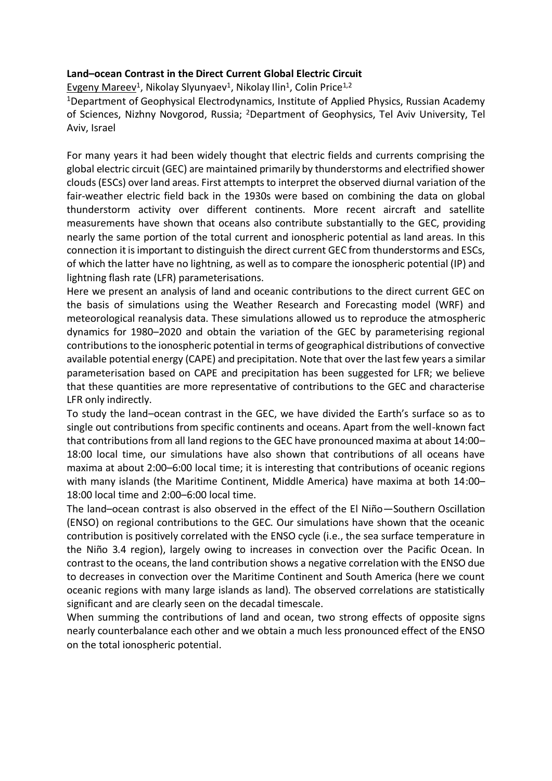### **Land–ocean Contrast in the Direct Current Global Electric Circuit**

<u>Evgeny Mareev</u><sup>1</sup>, Nikolay Slyunyaev<sup>1</sup>, Nikolay Ilin<sup>1</sup>, Colin Price<sup>1,2</sup>

<sup>1</sup>Department of Geophysical Electrodynamics, Institute of Applied Physics, Russian Academy of Sciences, Nizhny Novgorod, Russia; <sup>2</sup>Department of Geophysics, Tel Aviv University, Tel Aviv, Israel

For many years it had been widely thought that electric fields and currents comprising the global electric circuit (GEC) are maintained primarily by thunderstorms and electrified shower clouds (ESCs) over land areas. First attempts to interpret the observed diurnal variation of the fair-weather electric field back in the 1930s were based on combining the data on global thunderstorm activity over different continents. More recent aircraft and satellite measurements have shown that oceans also contribute substantially to the GEC, providing nearly the same portion of the total current and ionospheric potential as land areas. In this connection it is important to distinguish the direct current GEC from thunderstorms and ESCs, of which the latter have no lightning, as well as to compare the ionospheric potential (IP) and lightning flash rate (LFR) parameterisations.

Here we present an analysis of land and oceanic contributions to the direct current GEC on the basis of simulations using the Weather Research and Forecasting model (WRF) and meteorological reanalysis data. These simulations allowed us to reproduce the atmospheric dynamics for 1980–2020 and obtain the variation of the GEC by parameterising regional contributions to the ionospheric potential in terms of geographical distributions of convective available potential energy (CAPE) and precipitation. Note that over the last few years a similar parameterisation based on CAPE and precipitation has been suggested for LFR; we believe that these quantities are more representative of contributions to the GEC and characterise LFR only indirectly.

To study the land–ocean contrast in the GEC, we have divided the Earth's surface so as to single out contributions from specific continents and oceans. Apart from the well-known fact that contributions from all land regions to the GEC have pronounced maxima at about 14:00– 18:00 local time, our simulations have also shown that contributions of all oceans have maxima at about 2:00–6:00 local time; it is interesting that contributions of oceanic regions with many islands (the Maritime Continent, Middle America) have maxima at both 14:00– 18:00 local time and 2:00–6:00 local time.

The land–ocean contrast is also observed in the effect of the El Niño—Southern Oscillation (ENSO) on regional contributions to the GEC. Our simulations have shown that the oceanic contribution is positively correlated with the ENSO cycle (i.e., the sea surface temperature in the Niño 3.4 region), largely owing to increases in convection over the Pacific Ocean. In contrast to the oceans, the land contribution shows a negative correlation with the ENSO due to decreases in convection over the Maritime Continent and South America (here we count oceanic regions with many large islands as land). The observed correlations are statistically significant and are clearly seen on the decadal timescale.

When summing the contributions of land and ocean, two strong effects of opposite signs nearly counterbalance each other and we obtain a much less pronounced effect of the ENSO on the total ionospheric potential.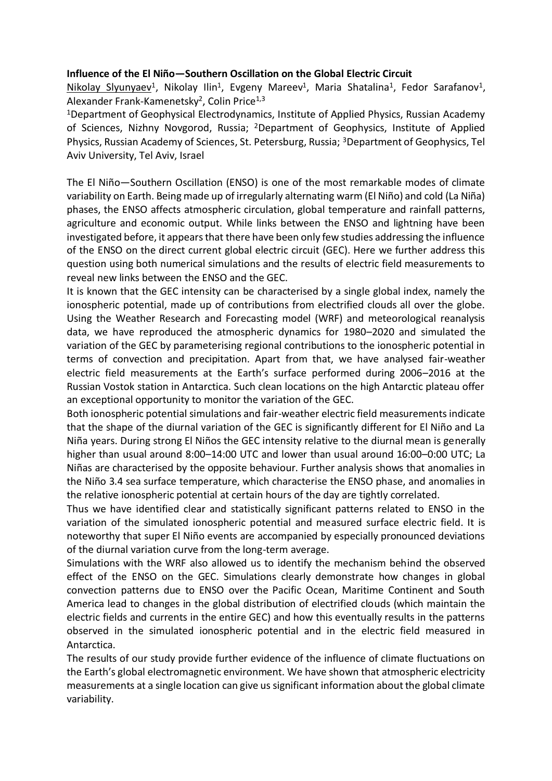#### **Influence of the El Niño—Southern Oscillation on the Global Electric Circuit**

Nikolay Slyunyaev<sup>1</sup>, Nikolay Ilin<sup>1</sup>, Evgeny Mareev<sup>1</sup>, Maria Shatalina<sup>1</sup>, Fedor Sarafanov<sup>1</sup>, Alexander Frank-Kamenetsky<sup>2</sup>, Colin Price<sup>1,3</sup>

<sup>1</sup>Department of Geophysical Electrodynamics, Institute of Applied Physics, Russian Academy of Sciences, Nizhny Novgorod, Russia; <sup>2</sup>Department of Geophysics, Institute of Applied Physics, Russian Academy of Sciences, St. Petersburg, Russia; <sup>3</sup>Department of Geophysics, Tel Aviv University, Tel Aviv, Israel

The El Niño—Southern Oscillation (ENSO) is one of the most remarkable modes of climate variability on Earth. Being made up of irregularly alternating warm (El Niño) and cold (La Niña) phases, the ENSO affects atmospheric circulation, global temperature and rainfall patterns, agriculture and economic output. While links between the ENSO and lightning have been investigated before, it appears that there have been only few studies addressing the influence of the ENSO on the direct current global electric circuit (GEC). Here we further address this question using both numerical simulations and the results of electric field measurements to reveal new links between the ENSO and the GEC.

It is known that the GEC intensity can be characterised by a single global index, namely the ionospheric potential, made up of contributions from electrified clouds all over the globe. Using the Weather Research and Forecasting model (WRF) and meteorological reanalysis data, we have reproduced the atmospheric dynamics for 1980–2020 and simulated the variation of the GEC by parameterising regional contributions to the ionospheric potential in terms of convection and precipitation. Apart from that, we have analysed fair-weather electric field measurements at the Earth's surface performed during 2006–2016 at the Russian Vostok station in Antarctica. Such clean locations on the high Antarctic plateau offer an exceptional opportunity to monitor the variation of the GEC.

Both ionospheric potential simulations and fair-weather electric field measurements indicate that the shape of the diurnal variation of the GEC is significantly different for El Niño and La Niña years. During strong El Niños the GEC intensity relative to the diurnal mean is generally higher than usual around 8:00–14:00 UTC and lower than usual around 16:00–0:00 UTC; La Niñas are characterised by the opposite behaviour. Further analysis shows that anomalies in the Niño 3.4 sea surface temperature, which characterise the ENSO phase, and anomalies in the relative ionospheric potential at certain hours of the day are tightly correlated.

Thus we have identified clear and statistically significant patterns related to ENSO in the variation of the simulated ionospheric potential and measured surface electric field. It is noteworthy that super El Niño events are accompanied by especially pronounced deviations of the diurnal variation curve from the long-term average.

Simulations with the WRF also allowed us to identify the mechanism behind the observed effect of the ENSO on the GEC. Simulations clearly demonstrate how changes in global convection patterns due to ENSO over the Pacific Ocean, Maritime Continent and South America lead to changes in the global distribution of electrified clouds (which maintain the electric fields and currents in the entire GEC) and how this eventually results in the patterns observed in the simulated ionospheric potential and in the electric field measured in Antarctica.

The results of our study provide further evidence of the influence of climate fluctuations on the Earth's global electromagnetic environment. We have shown that atmospheric electricity measurements at a single location can give us significant information about the global climate variability.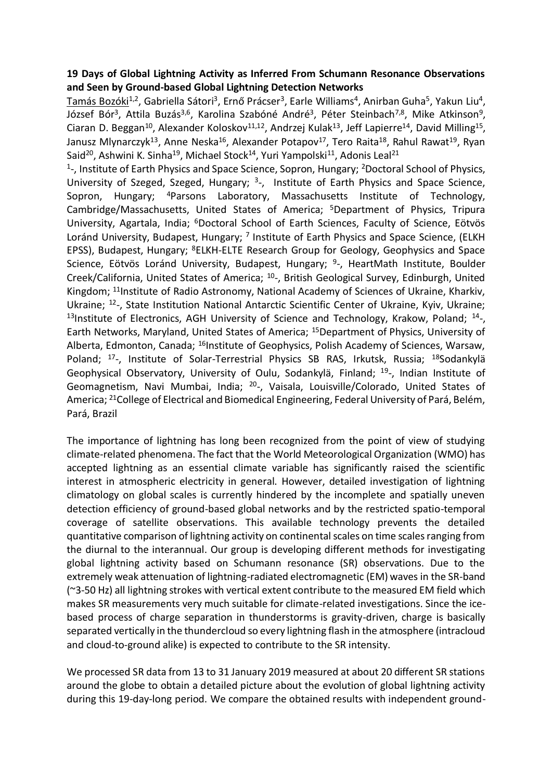### **19 Days of Global Lightning Activity as Inferred From Schumann Resonance Observations and Seen by Ground-based Global Lightning Detection Networks**

<u>Tamás Bozóki</u><sup>1,2</sup>, Gabriella Sátori<sup>3</sup>, Ernő Prácser<sup>3</sup>, Earle Williams<sup>4</sup>, Anirban Guha<sup>5</sup>, Yakun Liu<sup>4</sup>, József Bór<sup>3</sup>, Attila Buzás<sup>3,6</sup>, Karolina Szabóné André<sup>3</sup>, Péter Steinbach<sup>7,8</sup>, Mike Atkinson<sup>9</sup>, Ciaran D. Beggan<sup>10</sup>, Alexander Koloskov<sup>11,12</sup>, Andrzej Kulak<sup>13</sup>, Jeff Lapierre<sup>14</sup>, David Milling<sup>15</sup>, Janusz Mlynarczyk<sup>13</sup>, Anne Neska<sup>16</sup>, Alexander Potapov<sup>17</sup>, Tero Raita<sup>18</sup>, Rahul Rawat<sup>19</sup>, Ryan Said<sup>20</sup>, Ashwini K. Sinha<sup>19</sup>, Michael Stock<sup>14</sup>, Yuri Yampolski<sup>11</sup>, Adonis Leal<sup>21</sup>

<sup>1</sup>-, Institute of Earth Physics and Space Science, Sopron, Hungary; <sup>2</sup>Doctoral School of Physics, University of Szeged, Szeged, Hungary; <sup>3</sup>-, Institute of Earth Physics and Space Science, Sopron, Hungary; <sup>4</sup>Parsons Laboratory, Massachusetts Institute of Technology, Cambridge/Massachusetts, United States of America; <sup>5</sup>Department of Physics, Tripura University, Agartala, India; <sup>6</sup>Doctoral School of Earth Sciences, Faculty of Science, Eötvös Loránd University, Budapest, Hungary; <sup>7</sup> Institute of Earth Physics and Space Science, (ELKH EPSS), Budapest, Hungary; <sup>8</sup>ELKH-ELTE Research Group for Geology, Geophysics and Space Science, Eötvös Loránd University, Budapest, Hungary; <sup>9</sup>-, HeartMath Institute, Boulder Creek/California, United States of America; <sup>10</sup>-, British Geological Survey, Edinburgh, United Kingdom; <sup>11</sup>Institute of Radio Astronomy, National Academy of Sciences of Ukraine, Kharkiv, Ukraine; <sup>12</sup>-, State Institution National Antarctic Scientific Center of Ukraine, Kyiv, Ukraine; <sup>13</sup>Institute of Electronics, AGH University of Science and Technology, Krakow, Poland; <sup>14</sup>-, Earth Networks, Maryland, United States of America; <sup>15</sup>Department of Physics, University of Alberta, Edmonton, Canada; <sup>16</sup>Institute of Geophysics, Polish Academy of Sciences, Warsaw, Poland; <sup>17</sup>-, Institute of Solar-Terrestrial Physics SB RAS, Irkutsk, Russia; <sup>18</sup>Sodankylä Geophysical Observatory, University of Oulu, Sodankylä, Finland; <sup>19</sup>-, Indian Institute of Geomagnetism, Navi Mumbai, India; <sup>20</sup>-, Vaisala, Louisville/Colorado, United States of America; <sup>21</sup>College of Electrical and Biomedical Engineering, Federal University of Pará, Belém, Pará, Brazil

The importance of lightning has long been recognized from the point of view of studying climate-related phenomena. The fact that the World Meteorological Organization (WMO) has accepted lightning as an essential climate variable has significantly raised the scientific interest in atmospheric electricity in general. However, detailed investigation of lightning climatology on global scales is currently hindered by the incomplete and spatially uneven detection efficiency of ground-based global networks and by the restricted spatio-temporal coverage of satellite observations. This available technology prevents the detailed quantitative comparison of lightning activity on continental scales on time scales ranging from the diurnal to the interannual. Our group is developing different methods for investigating global lightning activity based on Schumann resonance (SR) observations. Due to the extremely weak attenuation of lightning-radiated electromagnetic (EM) waves in the SR-band (~3-50 Hz) all lightning strokes with vertical extent contribute to the measured EM field which makes SR measurements very much suitable for climate-related investigations. Since the icebased process of charge separation in thunderstorms is gravity-driven, charge is basically separated vertically in the thundercloud so every lightning flash in the atmosphere (intracloud and cloud-to-ground alike) is expected to contribute to the SR intensity.

We processed SR data from 13 to 31 January 2019 measured at about 20 different SR stations around the globe to obtain a detailed picture about the evolution of global lightning activity during this 19-day-long period. We compare the obtained results with independent ground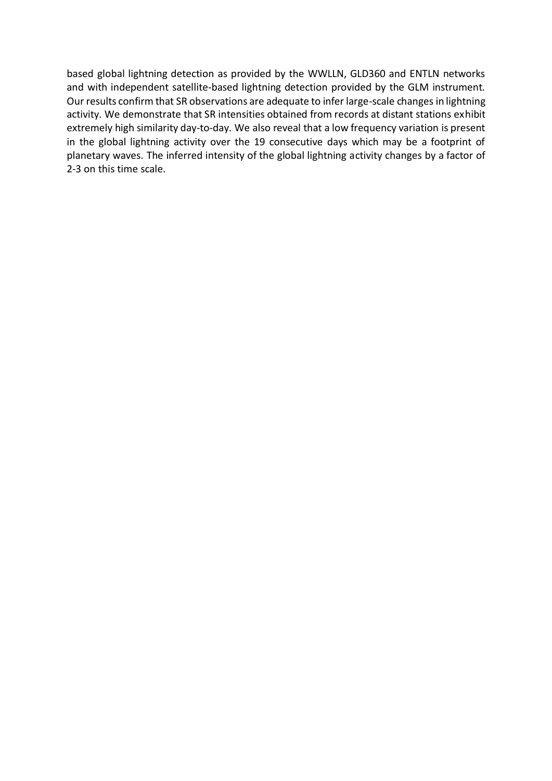based global lightning detection as provided by the WWLLN, GLD360 and ENTLN networks and with independent satellite-based lightning detection provided by the GLM instrument. Our results confirm that SR observations are adequate to infer large-scale changes in lightning activity. We demonstrate that SR intensities obtained from records at distant stations exhibit extremely high similarity day-to-day. We also reveal that a low frequency variation is present in the global lightning activity over the 19 consecutive days which may be a footprint of planetary waves. The inferred intensity of the global lightning activity changes by a factor of 2-3 on this time scale.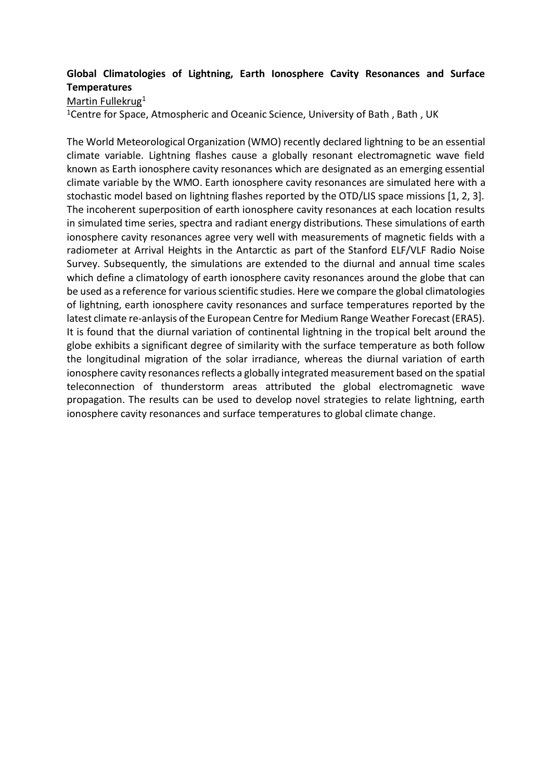# **Global Climatologies of Lightning, Earth Ionosphere Cavity Resonances and Surface Temperatures**

Martin Fullekrug<sup>1</sup>

<sup>1</sup>Centre for Space, Atmospheric and Oceanic Science, University of Bath, Bath, UK

The World Meteorological Organization (WMO) recently declared lightning to be an essential climate variable. Lightning flashes cause a globally resonant electromagnetic wave field known as Earth ionosphere cavity resonances which are designated as an emerging essential climate variable by the WMO. Earth ionosphere cavity resonances are simulated here with a stochastic model based on lightning flashes reported by the OTD/LIS space missions [1, 2, 3]. The incoherent superposition of earth ionosphere cavity resonances at each location results in simulated time series, spectra and radiant energy distributions. These simulations of earth ionosphere cavity resonances agree very well with measurements of magnetic fields with a radiometer at Arrival Heights in the Antarctic as part of the Stanford ELF/VLF Radio Noise Survey. Subsequently, the simulations are extended to the diurnal and annual time scales which define a climatology of earth ionosphere cavity resonances around the globe that can be used as a reference for various scientific studies. Here we compare the global climatologies of lightning, earth ionosphere cavity resonances and surface temperatures reported by the latest climate re-anlaysis of the European Centre for Medium Range Weather Forecast (ERA5). It is found that the diurnal variation of continental lightning in the tropical belt around the globe exhibits a significant degree of similarity with the surface temperature as both follow the longitudinal migration of the solar irradiance, whereas the diurnal variation of earth ionosphere cavity resonances reflects a globally integrated measurement based on the spatial teleconnection of thunderstorm areas attributed the global electromagnetic wave propagation. The results can be used to develop novel strategies to relate lightning, earth ionosphere cavity resonances and surface temperatures to global climate change.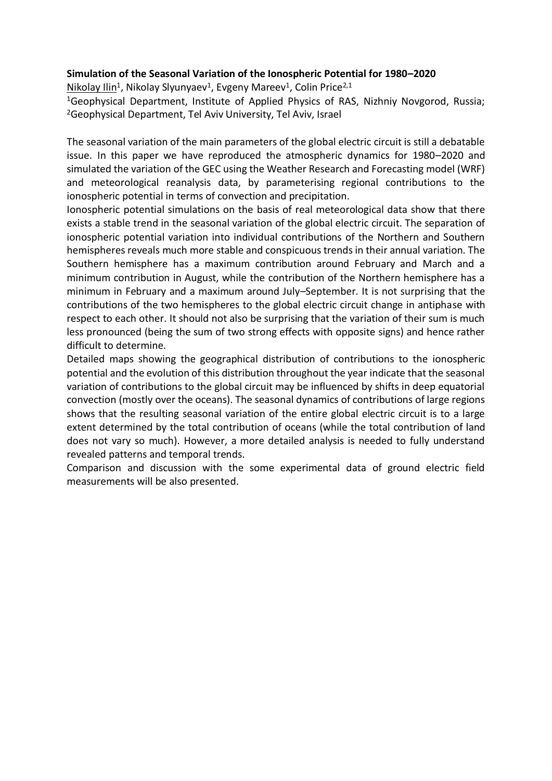#### **Simulation of the Seasonal Variation of the Ionospheric Potential for 1980–2020**

Nikolay Ilin<sup>1</sup>, Nikolay Slyunyaev<sup>1</sup>, Evgeny Mareev<sup>1</sup>, Colin Price<sup>2,1</sup>

<sup>1</sup>Geophysical Department, Institute of Applied Physics of RAS, Nizhniy Novgorod, Russia; <sup>2</sup>Geophysical Department, Tel Aviv University, Tel Aviv, Israel

The seasonal variation of the main parameters of the global electric circuit is still a debatable issue. In this paper we have reproduced the atmospheric dynamics for 1980–2020 and simulated the variation of the GEC using the Weather Research and Forecasting model (WRF) and meteorological reanalysis data, by parameterising regional contributions to the ionospheric potential in terms of convection and precipitation.

Ionospheric potential simulations on the basis of real meteorological data show that there exists a stable trend in the seasonal variation of the global electric circuit. The separation of ionospheric potential variation into individual contributions of the Northern and Southern hemispheres reveals much more stable and conspicuous trends in their annual variation. The Southern hemisphere has a maximum contribution around February and March and a minimum contribution in August, while the contribution of the Northern hemisphere has a minimum in February and a maximum around July–September. It is not surprising that the contributions of the two hemispheres to the global electric circuit change in antiphase with respect to each other. It should not also be surprising that the variation of their sum is much less pronounced (being the sum of two strong effects with opposite signs) and hence rather difficult to determine.

Detailed maps showing the geographical distribution of contributions to the ionospheric potential and the evolution of this distribution throughout the year indicate that the seasonal variation of contributions to the global circuit may be influenced by shifts in deep equatorial convection (mostly over the oceans). The seasonal dynamics of contributions of large regions shows that the resulting seasonal variation of the entire global electric circuit is to a large extent determined by the total contribution of oceans (while the total contribution of land does not vary so much). However, a more detailed analysis is needed to fully understand revealed patterns and temporal trends.

Comparison and discussion with the some experimental data of ground electric field measurements will be also presented.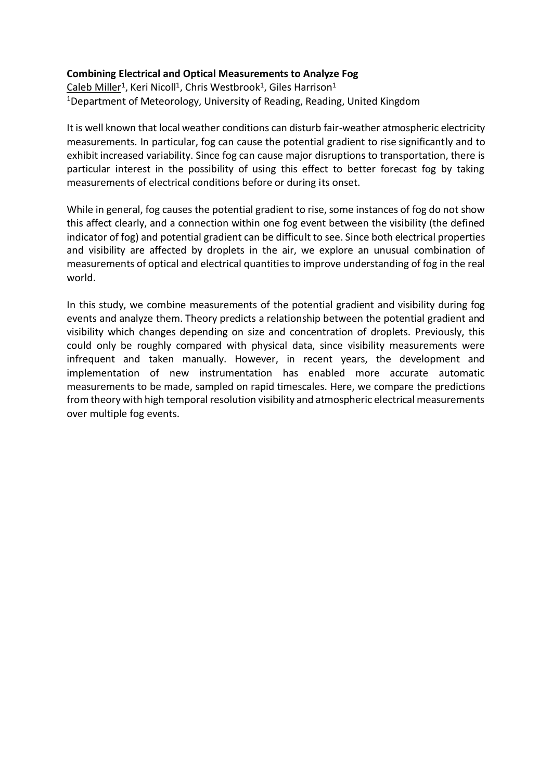### **Combining Electrical and Optical Measurements to Analyze Fog**

<u>Caleb Miller<sup>1</sup>, Keri Nicoll<sup>1</sup>, Chris Westbrook<sup>1</sup>, Giles Harrison<sup>1</sup></u> <sup>1</sup>Department of Meteorology, University of Reading, Reading, United Kingdom

It is well known that local weather conditions can disturb fair-weather atmospheric electricity measurements. In particular, fog can cause the potential gradient to rise significantly and to exhibit increased variability. Since fog can cause major disruptions to transportation, there is particular interest in the possibility of using this effect to better forecast fog by taking measurements of electrical conditions before or during its onset.

While in general, fog causes the potential gradient to rise, some instances of fog do not show this affect clearly, and a connection within one fog event between the visibility (the defined indicator of fog) and potential gradient can be difficult to see. Since both electrical properties and visibility are affected by droplets in the air, we explore an unusual combination of measurements of optical and electrical quantities to improve understanding of fog in the real world.

In this study, we combine measurements of the potential gradient and visibility during fog events and analyze them. Theory predicts a relationship between the potential gradient and visibility which changes depending on size and concentration of droplets. Previously, this could only be roughly compared with physical data, since visibility measurements were infrequent and taken manually. However, in recent years, the development and implementation of new instrumentation has enabled more accurate automatic measurements to be made, sampled on rapid timescales. Here, we compare the predictions from theory with high temporal resolution visibility and atmospheric electrical measurements over multiple fog events.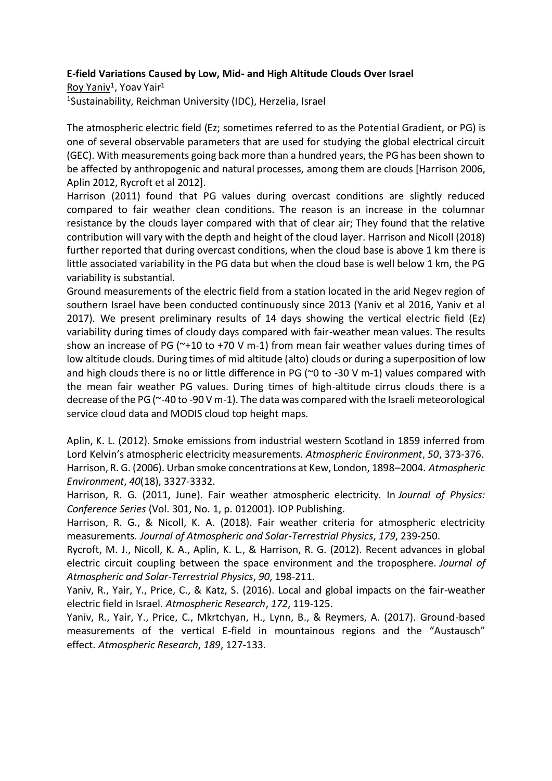### **E-field Variations Caused by Low, Mid- and High Altitude Clouds Over Israel**

<u>Roy Yaniv</u><sup>1</sup>, Yoav Yair<sup>1</sup> <sup>1</sup>Sustainability, Reichman University (IDC), Herzelia, Israel

The atmospheric electric field (Ez; sometimes referred to as the Potential Gradient, or PG) is one of several observable parameters that are used for studying the global electrical circuit (GEC). With measurements going back more than a hundred years, the PG has been shown to be affected by anthropogenic and natural processes, among them are clouds [Harrison 2006, Aplin 2012, Rycroft et al 2012].

Harrison (2011) found that PG values during overcast conditions are slightly reduced compared to fair weather clean conditions. The reason is an increase in the columnar resistance by the clouds layer compared with that of clear air; They found that the relative contribution will vary with the depth and height of the cloud layer. Harrison and Nicoll (2018) further reported that during overcast conditions, when the cloud base is above 1 km there is little associated variability in the PG data but when the cloud base is well below 1 km, the PG variability is substantial.

Ground measurements of the electric field from a station located in the arid Negev region of southern Israel have been conducted continuously since 2013 (Yaniv et al 2016, Yaniv et al 2017). We present preliminary results of 14 days showing the vertical electric field (Ez) variability during times of cloudy days compared with fair-weather mean values. The results show an increase of PG ( $\gamma$ +10 to +70 V m-1) from mean fair weather values during times of low altitude clouds. During times of mid altitude (alto) clouds or during a superposition of low and high clouds there is no or little difference in PG ( $\degree$ 0 to -30 V m-1) values compared with the mean fair weather PG values. During times of high-altitude cirrus clouds there is a decrease of the PG (~-40 to -90 V m-1). The data was compared with the Israeli meteorological service cloud data and MODIS cloud top height maps.

Aplin, K. L. (2012). Smoke emissions from industrial western Scotland in 1859 inferred from Lord Kelvin's atmospheric electricity measurements. *Atmospheric Environment*, *50*, 373-376. Harrison, R. G. (2006). Urban smoke concentrations at Kew, London, 1898–2004. *Atmospheric Environment*, *40*(18), 3327-3332.

Harrison, R. G. (2011, June). Fair weather atmospheric electricity. In *Journal of Physics: Conference Series* (Vol. 301, No. 1, p. 012001). IOP Publishing.

Harrison, R. G., & Nicoll, K. A. (2018). Fair weather criteria for atmospheric electricity measurements. *Journal of Atmospheric and Solar-Terrestrial Physics*, *179*, 239-250.

Rycroft, M. J., Nicoll, K. A., Aplin, K. L., & Harrison, R. G. (2012). Recent advances in global electric circuit coupling between the space environment and the troposphere. *Journal of Atmospheric and Solar-Terrestrial Physics*, *90*, 198-211.

Yaniv, R., Yair, Y., Price, C., & Katz, S. (2016). Local and global impacts on the fair-weather electric field in Israel. *Atmospheric Research*, *172*, 119-125.

Yaniv, R., Yair, Y., Price, C., Mkrtchyan, H., Lynn, B., & Reymers, A. (2017). Ground-based measurements of the vertical E-field in mountainous regions and the "Austausch" effect. *Atmospheric Research*, *189*, 127-133.